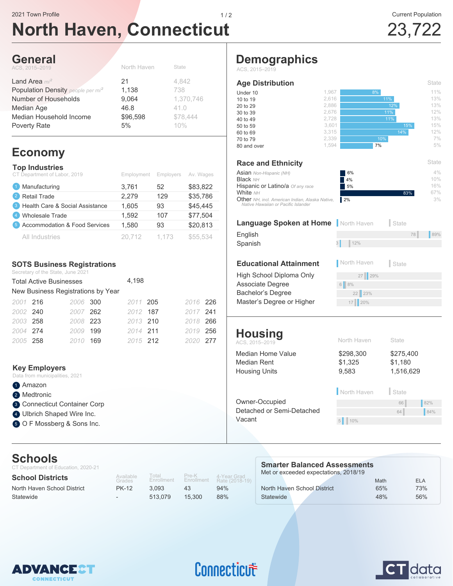**North Haven, Connecticut**



**State** 

### **General**

| ACS, 2015-2019                                | North Haven | State     |
|-----------------------------------------------|-------------|-----------|
| Land Area $mi^2$                              | 21          | 4.842     |
| Population Density people per mi <sup>2</sup> | 1,138       | 738       |
| Number of Households                          | 9,064       | 1,370,746 |
| Median Age                                    | 46.8        | 41.0      |
| Median Household Income                       | \$96,598    | \$78,444  |
| Poverty Rate                                  | 5%          | 10%       |

### **Economy**

| <b>Top Industries</b><br>CT Department of Labor, 2019 | Employment | Employers | Av. Wages |
|-------------------------------------------------------|------------|-----------|-----------|
| Manufacturing                                         | 3,761      | 52        | \$83,822  |
| <b>Retail Trade</b><br>$\vert$ 2                      | 2,279      | 129       | \$35,786  |
| Health Care & Social Assistance<br>$\mathbf{3}$       | 1,605      | 93        | \$45,445  |
| Wholesale Trade<br>$\overline{4}$                     | 1,592      | 107       | \$77,504  |
| Accommodation & Food Services<br>5 <sub>5</sub>       | 1,580      | 93        | \$20,813  |
| All Industries                                        | 20,712     | 1,173     | \$55,534  |

### **SOTS Business Registrations**

Secretary of the State, June 2021

|          | <b>Total Active Businesses</b>     |          |     | 4,198    |          |     |
|----------|------------------------------------|----------|-----|----------|----------|-----|
|          | New Business Registrations by Year |          |     |          |          |     |
| 2001 216 |                                    | 2006 300 |     | 2011 205 | 2016 226 |     |
| 2002 240 |                                    | 2007 262 |     | 2012 187 | 2017 241 |     |
| 2003 258 |                                    | 2008 223 |     | 2013 210 | 2018 266 |     |
| 2004 274 |                                    | 2009     | 199 | 2014 211 | 2019 256 |     |
| 2005 258 |                                    | 2010     | 169 | 2015 212 | 2020     | 277 |

### **Key Employers**

Data from municipalities, 2021

- **1** Amazon
- 2 Medtronic
- **3** Connecticut Container Corp
- 4 Ulbrich Shaped Wire Inc.
- **5** O F Mossberg & Sons Inc.

## **Schools**

|  |  |  | CT Department of Education, 2020-21 |  |
|--|--|--|-------------------------------------|--|
|--|--|--|-------------------------------------|--|

**School Districts** 

North Haven School District **Statewide** 

Available<br>Grades PK-12 -

Total Enrollment 3,093 513,079 43 15,300

| Pre-K<br>Enrollment | 4-Year Grad<br>Rate (2018-19) |
|---------------------|-------------------------------|
| 43                  | 94%                           |
| 15,300              | 88%                           |

### **Smarter Balanced Assessments** Met or exceeded expectations, 2018/19 Math ELA North Haven School District **Statewide** 65% 48% 73% 56%



## Connecticut



ACS, 2015–2019 **Demographics**

### **Age Distribution**

| 1,967<br>Under 10                                      | 11%<br>8%            |
|--------------------------------------------------------|----------------------|
| 2,616<br>10 to 19                                      | 13%<br>11%           |
| 2,886<br>20 to 29                                      | 13%<br>12%           |
| 2,676<br>30 to 39                                      | 12%<br>11%           |
| 2,728<br>40 to 49                                      | 13%<br>11%           |
| 3,601<br>50 to 59                                      | 15%<br>15%           |
| 3,315<br>60 to 69                                      | 12%<br>14%           |
| 2,339<br>70 to 79                                      | 7%<br>10%            |
| 1,594<br>80 and over                                   | 5%<br>7%             |
|                                                        |                      |
| <b>Race and Ethnicity</b>                              | <b>State</b>         |
| <b>Asian</b> Non-Hispanic (NH)                         | 4%<br>6%             |
| <b>Black NH</b>                                        | 10%<br>4%            |
| Hispanic or Latino/a Of any race                       | 16%<br>5%            |
| White NH                                               | 67%<br>83%           |
| <b>Other</b> NH, incl. American Indian, Alaska Native, | 3%<br>2%             |
| Native Hawaiian or Pacific Islander                    |                      |
|                                                        |                      |
| <b>Language Spoken at Home</b> North Haven             | State                |
| English                                                | 89%<br>78            |
| Spanish                                                | 12%<br>3             |
|                                                        |                      |
|                                                        |                      |
| <b>Educational Attainment</b>                          | North Haven<br>State |
| High School Diploma Only                               | 27 29%               |
| Associate Degree                                       | 8%                   |
| <b>Bachelor's Degree</b>                               | 23%<br>22            |
|                                                        |                      |

17 | 20%

As Bachelor's Degree Master's Degree or Higher

### **Housing** ACS, 2015–2019 North Haven State

| Median Home Value<br>Median Rent<br><b>Housing Units</b> | \$298,300<br>\$1,325<br>9,583 | \$275,400<br>\$1,180<br>1,516,629 |  |
|----------------------------------------------------------|-------------------------------|-----------------------------------|--|
|                                                          | North Haven                   | State                             |  |
| Owner-Occupied                                           |                               | 82%<br>66                         |  |
| Detached or Semi-Detached<br>Vacant                      |                               | 84%<br>64                         |  |
|                                                          | 5<br>10%                      |                                   |  |
|                                                          |                               |                                   |  |